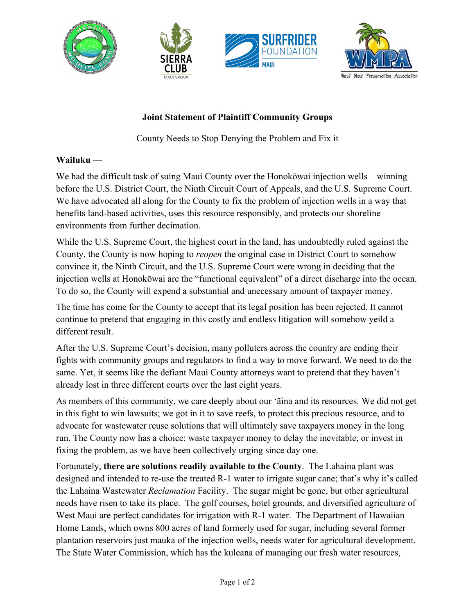





## **Joint Statement of Plaintiff Community Groups**

County Needs to Stop Denying the Problem and Fix it

## **Wailuku** —

We had the difficult task of suing Maui County over the Honokōwai injection wells – winning before the U.S. District Court, the Ninth Circuit Court of Appeals, and the U.S. Supreme Court. We have advocated all along for the County to fix the problem of injection wells in a way that benefits land-based activities, uses this resource responsibly, and protects our shoreline environments from further decimation.

While the U.S. Supreme Court, the highest court in the land, has undoubtedly ruled against the County, the County is now hoping to *reopen* the original case in District Court to somehow convince it, the Ninth Circuit, and the U.S. Supreme Court were wrong in deciding that the injection wells at Honokōwai are the "functional equivalent" of a direct discharge into the ocean. To do so, the County will expend a substantial and unecessary amount of taxpayer money.

The time has come for the County to accept that its legal position has been rejected. It cannot continue to pretend that engaging in this costly and endless litigation will somehow yeild a different result.

After the U.S. Supreme Court's decision, many polluters across the country are ending their fights with community groups and regulators to find a way to move forward. We need to do the same. Yet, it seems like the defiant Maui County attorneys want to pretend that they haven't already lost in three different courts over the last eight years.

As members of this community, we care deeply about our ʻāina and its resources. We did not get in this fight to win lawsuits; we got in it to save reefs, to protect this precious resource, and to advocate for wastewater reuse solutions that will ultimately save taxpayers money in the long run. The County now has a choice: waste taxpayer money to delay the inevitable, or invest in fixing the problem, as we have been collectively urging since day one.

Fortunately, **there are solutions readily available to the County**. The Lahaina plant was designed and intended to re-use the treated R-1 water to irrigate sugar cane; that's why it's called the Lahaina Wastewater *Reclamation* Facility. The sugar might be gone, but other agricultural needs have risen to take its place. The golf courses, hotel grounds, and diversified agriculture of West Maui are perfect candidates for irrigation with R-1 water. The Department of Hawaiian Home Lands, which owns 800 acres of land formerly used for sugar, including several former plantation reservoirs just mauka of the injection wells, needs water for agricultural development. The State Water Commission, which has the kuleana of managing our fresh water resources,